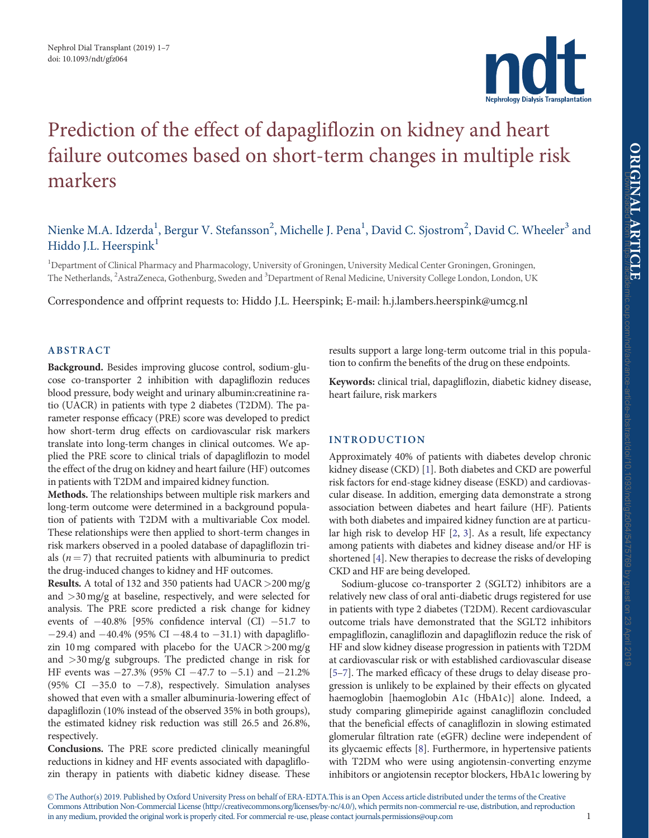

# <span id="page-0-0"></span>Prediction of the effect of dapagliflozin on kidney and heart failure outcomes based on short-term changes in multiple risk markers

## Nienke M.A. Idzerda<sup>1</sup>, Bergur V. Stefansson<sup>2</sup>, Michelle J. Pena<sup>1</sup>, David C. Sjostrom<sup>2</sup>, David C. Wheeler<sup>3</sup> and Hiddo J.L. Heerspink<sup>1</sup>

<sup>1</sup>Department of Clinical Pharmacy and Pharmacology, University of Groningen, University Medical Center Groningen, Groningen, The Netherlands, <sup>2</sup>AstraZeneca, Gothenburg, Sweden and <sup>3</sup>Department of Renal Medicine, University College London, London, UK

Correspondence and offprint requests to: Hiddo J.L. Heerspink; E-mail: h.j.lambers.heerspink@umcg.nl

## ABSTRACT

Background. Besides improving glucose control, sodium-glucose co-transporter 2 inhibition with dapagliflozin reduces blood pressure, body weight and urinary albumin:creatinine ratio (UACR) in patients with type 2 diabetes (T2DM). The parameter response efficacy (PRE) score was developed to predict how short-term drug effects on cardiovascular risk markers translate into long-term changes in clinical outcomes. We applied the PRE score to clinical trials of dapagliflozin to model the effect of the drug on kidney and heart failure (HF) outcomes in patients with T2DM and impaired kidney function.

Methods. The relationships between multiple risk markers and long-term outcome were determined in a background population of patients with T2DM with a multivariable Cox model. These relationships were then applied to short-term changes in risk markers observed in a pooled database of dapagliflozin trials ( $n = 7$ ) that recruited patients with albuminuria to predict the drug-induced changes to kidney and HF outcomes.

Results. A total of 132 and 350 patients had UACR>200 mg/g and >30 mg/g at baseline, respectively, and were selected for analysis. The PRE score predicted a risk change for kidney events of  $-40.8\%$  [95% confidence interval (CI)  $-51.7$  to  $-29.4$ ) and  $-40.4\%$  (95% CI  $-48.4$  to  $-31.1$ ) with dapagliflozin 10 mg compared with placebo for the UACR>200 mg/g and >30 mg/g subgroups. The predicted change in risk for HF events was  $-27.3\%$  (95% CI  $-47.7$  to  $-5.1$ ) and  $-21.2\%$ (95% CI  $-35.0$  to  $-7.8$ ), respectively. Simulation analyses showed that even with a smaller albuminuria-lowering effect of dapagliflozin (10% instead of the observed 35% in both groups), the estimated kidney risk reduction was still 26.5 and 26.8%, respectively.

Conclusions. The PRE score predicted clinically meaningful reductions in kidney and HF events associated with dapagliflozin therapy in patients with diabetic kidney disease. These results support a large long-term outcome trial in this population to confirm the benefits of the drug on these endpoints.

Keywords: clinical trial, dapagliflozin, diabetic kidney disease, heart failure, risk markers

## INTRODUCTION

Approximately 40% of patients with diabetes develop chronic kidney disease (CKD) [\[1](#page-5-0)]. Both diabetes and CKD are powerful risk factors for end-stage kidney disease (ESKD) and cardiovascular disease. In addition, emerging data demonstrate a strong association between diabetes and heart failure (HF). Patients with both diabetes and impaired kidney function are at particular high risk to develop HF [\[2,](#page-5-0) [3](#page-5-0)]. As a result, life expectancy among patients with diabetes and kidney disease and/or HF is shortened [[4\]](#page-5-0). New therapies to decrease the risks of developing CKD and HF are being developed.

Sodium-glucose co-transporter 2 (SGLT2) inhibitors are a relatively new class of oral anti-diabetic drugs registered for use in patients with type 2 diabetes (T2DM). Recent cardiovascular outcome trials have demonstrated that the SGLT2 inhibitors empagliflozin, canagliflozin and dapagliflozin reduce the risk of HF and slow kidney disease progression in patients with T2DM at cardiovascular risk or with established cardiovascular disease [[5–7](#page-5-0)]. The marked efficacy of these drugs to delay disease progression is unlikely to be explained by their effects on glycated haemoglobin [haemoglobin A1c (HbA1c)] alone. Indeed, a study comparing glimepiride against canagliflozin concluded that the beneficial effects of canagliflozin in slowing estimated glomerular filtration rate (eGFR) decline were independent of its glycaemic effects [\[8\]](#page-5-0). Furthermore, in hypertensive patients with T2DM who were using angiotensin-converting enzyme inhibitors or angiotensin receptor blockers, HbA1c lowering by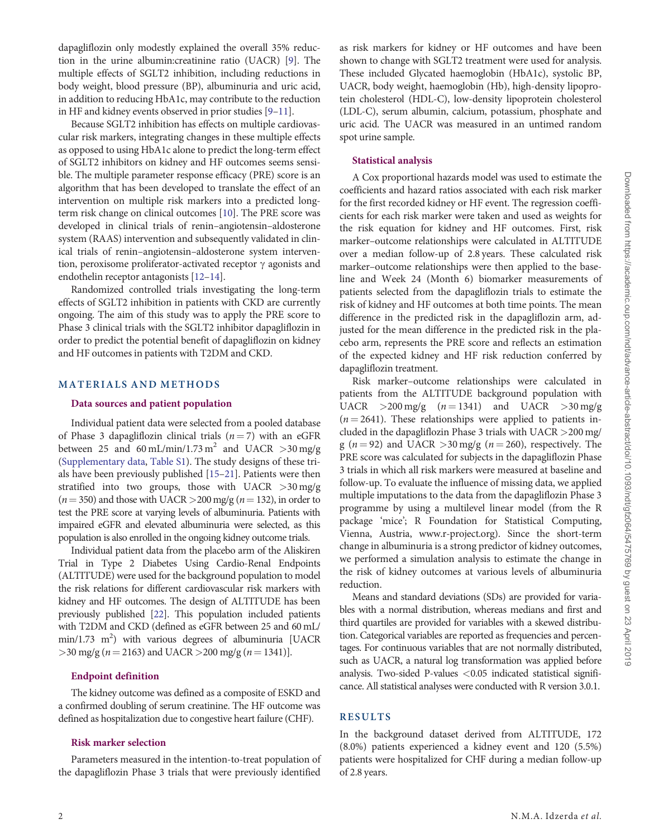<span id="page-1-0"></span>dapagliflozin only modestly explained the overall 35% reduction in the urine albumin:creatinine ratio (UACR) [\[9](#page-5-0)]. The multiple effects of SGLT2 inhibition, including reductions in body weight, blood pressure (BP), albuminuria and uric acid, in addition to reducing HbA1c, may contribute to the reduction in HF and kidney events observed in prior studies [[9–11](#page-5-0)].

Because SGLT2 inhibition has effects on multiple cardiovascular risk markers, integrating changes in these multiple effects as opposed to using HbA1c alone to predict the long-term effect of SGLT2 inhibitors on kidney and HF outcomes seems sensible. The multiple parameter response efficacy (PRE) score is an algorithm that has been developed to translate the effect of an intervention on multiple risk markers into a predicted longterm risk change on clinical outcomes [\[10](#page-5-0)]. The PRE score was developed in clinical trials of renin–angiotensin–aldosterone system (RAAS) intervention and subsequently validated in clinical trials of renin–angiotensin–aldosterone system intervention, peroxisome proliferator-activated receptor  $\gamma$  agonists and endothelin receptor antagonists [\[12–14](#page-6-0)].

Randomized controlled trials investigating the long-term effects of SGLT2 inhibition in patients with CKD are currently ongoing. The aim of this study was to apply the PRE score to Phase 3 clinical trials with the SGLT2 inhibitor dapagliflozin in order to predict the potential benefit of dapagliflozin on kidney and HF outcomes in patients with T2DM and CKD.

## MATERIALS AND METHODS

## Data sources and patient population

Individual patient data were selected from a pooled database of Phase 3 dapagliflozin clinical trials  $(n = 7)$  with an eGFR between 25 and 60 mL/min/1.73 m<sup>2</sup> and UACR  $>$ 30 mg/g [\(Supplementary data](https://academic.oup.com/ndt/article-lookup/doi/10.1093/ndt/gfz064#supplementary-data), [Table S1\)](https://academic.oup.com/ndt/article-lookup/doi/10.1093/ndt/gfz064#supplementary-data). The study designs of these trials have been previously published [[15–21](#page-6-0)]. Patients were then stratified into two groups, those with UACR  $>30$  mg/g  $(n = 350)$  and those with UACR >200 mg/g  $(n = 132)$ , in order to test the PRE score at varying levels of albuminuria. Patients with impaired eGFR and elevated albuminuria were selected, as this population is also enrolled in the ongoing kidney outcome trials.

Individual patient data from the placebo arm of the Aliskiren Trial in Type 2 Diabetes Using Cardio-Renal Endpoints (ALTITUDE) were used for the background population to model the risk relations for different cardiovascular risk markers with kidney and HF outcomes. The design of ALTITUDE has been previously published [\[22](#page-6-0)]. This population included patients with T2DM and CKD (defined as eGFR between 25 and 60 mL/  $min/1.73$   $m^2$ ) with various degrees of albuminuria [UACR  $>$ 30 mg/g (n = 2163) and UACR  $>$  200 mg/g (n = 1341)].

## Endpoint definition

The kidney outcome was defined as a composite of ESKD and a confirmed doubling of serum creatinine. The HF outcome was defined as hospitalization due to congestive heart failure (CHF).

#### Risk marker selection

Parameters measured in the intention-to-treat population of the dapagliflozin Phase 3 trials that were previously identified as risk markers for kidney or HF outcomes and have been shown to change with SGLT2 treatment were used for analysis. These included Glycated haemoglobin (HbA1c), systolic BP, UACR, body weight, haemoglobin (Hb), high-density lipoprotein cholesterol (HDL-C), low-density lipoprotein cholesterol (LDL-C), serum albumin, calcium, potassium, phosphate and uric acid. The UACR was measured in an untimed random spot urine sample.

#### Statistical analysis

A Cox proportional hazards model was used to estimate the coefficients and hazard ratios associated with each risk marker for the first recorded kidney or HF event. The regression coefficients for each risk marker were taken and used as weights for the risk equation for kidney and HF outcomes. First, risk marker–outcome relationships were calculated in ALTITUDE over a median follow-up of 2.8 years. These calculated risk marker–outcome relationships were then applied to the baseline and Week 24 (Month 6) biomarker measurements of patients selected from the dapagliflozin trials to estimate the risk of kidney and HF outcomes at both time points. The mean difference in the predicted risk in the dapagliflozin arm, adjusted for the mean difference in the predicted risk in the placebo arm, represents the PRE score and reflects an estimation of the expected kidney and HF risk reduction conferred by dapagliflozin treatment.

Risk marker–outcome relationships were calculated in patients from the ALTITUDE background population with UACR  $>200 \text{ mg/g}$   $(n = 1341)$  and UACR  $>30 \text{ mg/g}$  $(n = 2641)$ . These relationships were applied to patients included in the dapagliflozin Phase 3 trials with UACR >200 mg/ g ( $n = 92$ ) and UACR > 30 mg/g ( $n = 260$ ), respectively. The PRE score was calculated for subjects in the dapagliflozin Phase 3 trials in which all risk markers were measured at baseline and follow-up. To evaluate the influence of missing data, we applied multiple imputations to the data from the dapagliflozin Phase 3 programme by using a multilevel linear model (from the R package 'mice'; R Foundation for Statistical Computing, Vienna, Austria, [www.r-project.org\)](http://www.r-project.org). Since the short-term change in albuminuria is a strong predictor of kidney outcomes, we performed a simulation analysis to estimate the change in the risk of kidney outcomes at various levels of albuminuria reduction.

Means and standard deviations (SDs) are provided for variables with a normal distribution, whereas medians and first and third quartiles are provided for variables with a skewed distribution. Categorical variables are reported as frequencies and percentages. For continuous variables that are not normally distributed, such as UACR, a natural log transformation was applied before analysis. Two-sided P-values  $< 0.05$  indicated statistical significance. All statistical analyses were conducted with R version 3.0.1.

## RESULTS

In the background dataset derived from ALTITUDE, 172 (8.0%) patients experienced a kidney event and 120 (5.5%) patients were hospitalized for CHF during a median follow-up of 2.8 years.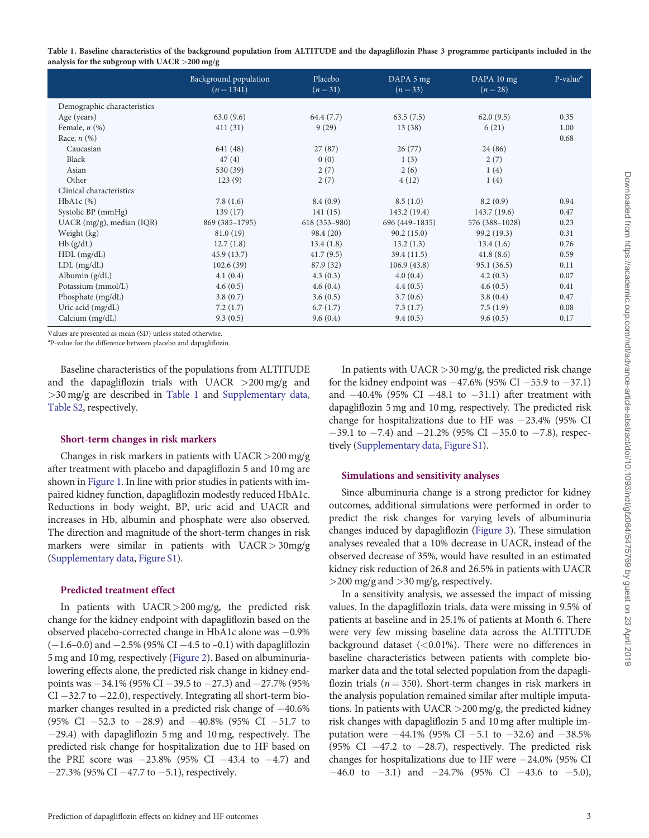| Table 1. Baseline characteristics of the background population from ALTITUDE and the dapagliflozin Phase 3 programme participants included in the |  |  |
|---------------------------------------------------------------------------------------------------------------------------------------------------|--|--|
| analysis for the subgroup with $\mathrm{UACR}\!>\!200\,\mathrm{mg/g}$                                                                             |  |  |

|                             | Background population<br>$(n=1341)$ | Placebo<br>$(n=31)$ | DAPA 5 mg<br>$(n=33)$ | DAPA 10 mg<br>$(n=28)$ | P-value <sup>a</sup> |
|-----------------------------|-------------------------------------|---------------------|-----------------------|------------------------|----------------------|
| Demographic characteristics |                                     |                     |                       |                        |                      |
| Age (years)                 | 63.0(9.6)                           | 64.4 (7.7)          | 63.5(7.5)             | 62.0(9.5)              | 0.35                 |
| Female, $n$ $(\%)$          | 411(31)                             | 9(29)               | 13(38)                | 6(21)                  | 1.00                 |
| Race, $n$ $(\%)$            |                                     |                     |                       |                        | 0.68                 |
| Caucasian                   | 641 (48)                            | 27(87)              | 26(77)                | 24 (86)                |                      |
| Black                       | 47(4)                               | 0(0)                | 1(3)                  | 2(7)                   |                      |
| Asian                       | 530 (39)                            | 2(7)                | 2(6)                  | 1(4)                   |                      |
| Other                       | 123(9)                              | 2(7)                | 4(12)                 | 1(4)                   |                      |
| Clinical characteristics    |                                     |                     |                       |                        |                      |
| $HbA1c$ $(\%)$              | 7.8(1.6)                            | 8.4(0.9)            | 8.5(1.0)              | 8.2(0.9)               | 0.94                 |
| Systolic BP (mmHg)          | 139(17)                             | 141(15)             | 143.2(19.4)           | 143.7(19.6)            | 0.47                 |
| $UACR$ (mg/g), median (IQR) | 869 (385-1795)                      | $618(353 - 980)$    | 696 (449-1835)        | 576 (388-1028)         | 0.23                 |
| Weight (kg)                 | 81.0(19)                            | 98.4 (20)           | 90.2(15.0)            | 99.2 (19.3)            | 0.31                 |
| Hb(g/dL)                    | 12.7(1.8)                           | 13.4(1.8)           | 13.2(1.3)             | 13.4(1.6)              | 0.76                 |
| $HDL$ (mg/dL)               | 45.9 (13.7)                         | 41.7(9.5)           | 39.4(11.5)            | 41.8(8.6)              | 0.59                 |
| $LDL$ (mg/dL)               | 102.6(39)                           | 87.9 (32)           | 106.9(43.8)           | 95.1(36.5)             | 0.11                 |
| Albumin $(g/dL)$            | 4.1(0.4)                            | 4.3(0.3)            | 4.0(0.4)              | 4.2(0.3)               | 0.07                 |
| Potassium (mmol/L)          | 4.6(0.5)                            | 4.6(0.4)            | 4.4(0.5)              | 4.6(0.5)               | 0.41                 |
| Phosphate (mg/dL)           | 3.8(0.7)                            | 3.6(0.5)            | 3.7(0.6)              | 3.8(0.4)               | 0.47                 |
| Uric acid $(mg/dL)$         | 7.2(1.7)                            | 6.7(1.7)            | 7.3(1.7)              | 7.5(1.9)               | 0.08                 |
| Calcium (mg/dL)             | 9.3(0.5)                            | 9.6(0.4)            | 9.4(0.5)              | 9.6(0.5)               | 0.17                 |

Values are presented as mean (SD) unless stated otherwise.

<sup>a</sup>P-value for the difference between placebo and dapagliflozin.

Baseline characteristics of the populations from ALTITUDE and the dapagliflozin trials with UACR  $>200$  mg/g and >30 mg/g are described in Table 1 and [Supplementary data](https://academic.oup.com/ndt/article-lookup/doi/10.1093/ndt/gfz064#supplementary-data), [Table S2](https://academic.oup.com/ndt/article-lookup/doi/10.1093/ndt/gfz064#supplementary-data), respectively.

#### Short-term changes in risk markers

Changes in risk markers in patients with UACR>200 mg/g after treatment with placebo and dapagliflozin 5 and 10 mg are shown in [Figure 1.](#page-3-0) In line with prior studies in patients with impaired kidney function, dapagliflozin modestly reduced HbA1c. Reductions in body weight, BP, uric acid and UACR and increases in Hb, albumin and phosphate were also observed. The direction and magnitude of the short-term changes in risk markers were similar in patients with UACR> 30mg/g [\(Supplementary data](https://academic.oup.com/ndt/article-lookup/doi/10.1093/ndt/gfz064#supplementary-data), [Figure S1](https://academic.oup.com/ndt/article-lookup/doi/10.1093/ndt/gfz064#supplementary-data)).

#### Predicted treatment effect

In patients with UACR>200 mg/g, the predicted risk change for the kidney endpoint with dapagliflozin based on the observed placebo-corrected change in HbA1c alone was  $-0.9\%$  $(-1.6-0.0)$  and  $-2.5\%$  (95% CI  $-4.5$  to  $-0.1$ ) with dapagliflozin 5 mg and 10 mg, respectively [\(Figure 2](#page-4-0)). Based on albuminurialowering effects alone, the predicted risk change in kidney endpoints was  $-34.1\%$  (95% CI  $-39.5$  to  $-27.3$ ) and  $-27.7\%$  (95%  $CI - 32.7$  to  $-22.0$ ), respectively. Integrating all short-term biomarker changes resulted in a predicted risk change of  $-40.6\%$  $(95\% \text{ CI } -52.3 \text{ to } -28.9) \text{ and } -40.8\% \text{ (95\% CI } -51.7 \text{ to }$ -29.4) with dapagliflozin 5 mg and 10 mg, respectively. The predicted risk change for hospitalization due to HF based on the PRE score was  $-23.8\%$  (95% CI  $-43.4$  to  $-4.7$ ) and  $-27.3\%$  (95% CI  $-47.7$  to  $-5.1$ ), respectively.

In patients with UACR >30 mg/g, the predicted risk change for the kidney endpoint was  $-47.6\%$  (95% CI  $-55.9$  to  $-37.1$ ) and  $-40.4\%$  (95% CI  $-48.1$  to  $-31.1$ ) after treatment with dapagliflozin 5 mg and 10 mg, respectively. The predicted risk change for hospitalizations due to HF was  $-23.4\%$  (95% CI  $-39.1$  to  $-7.4$ ) and  $-21.2\%$  (95% CI  $-35.0$  to  $-7.8$ ), respectively [\(Supplementary data](https://academic.oup.com/ndt/article-lookup/doi/10.1093/ndt/gfz064#supplementary-data), [Figure S1\)](https://academic.oup.com/ndt/article-lookup/doi/10.1093/ndt/gfz064#supplementary-data).

#### Simulations and sensitivity analyses

Since albuminuria change is a strong predictor for kidney outcomes, additional simulations were performed in order to predict the risk changes for varying levels of albuminuria changes induced by dapagliflozin ([Figure 3](#page-5-0)). These simulation analyses revealed that a 10% decrease in UACR, instead of the observed decrease of 35%, would have resulted in an estimated kidney risk reduction of 26.8 and 26.5% in patients with UACR >200 mg/g and >30 mg/g, respectively.

In a sensitivity analysis, we assessed the impact of missing values. In the dapagliflozin trials, data were missing in 9.5% of patients at baseline and in 25.1% of patients at Month 6. There were very few missing baseline data across the ALTITUDE background dataset  $(<0.01\%)$ . There were no differences in baseline characteristics between patients with complete biomarker data and the total selected population from the dapagliflozin trials ( $n = 350$ ). Short-term changes in risk markers in the analysis population remained similar after multiple imputations. In patients with UACR >200 mg/g, the predicted kidney risk changes with dapagliflozin 5 and 10 mg after multiple imputation were  $-44.1\%$  (95% CI  $-5.1$  to  $-32.6$ ) and  $-38.5\%$ (95% CI  $-47.2$  to  $-28.7$ ), respectively. The predicted risk changes for hospitalizations due to HF were  $-24.0\%$  (95% CI  $-46.0$  to  $-3.1$ ) and  $-24.7\%$  (95% CI  $-43.6$  to  $-5.0$ ),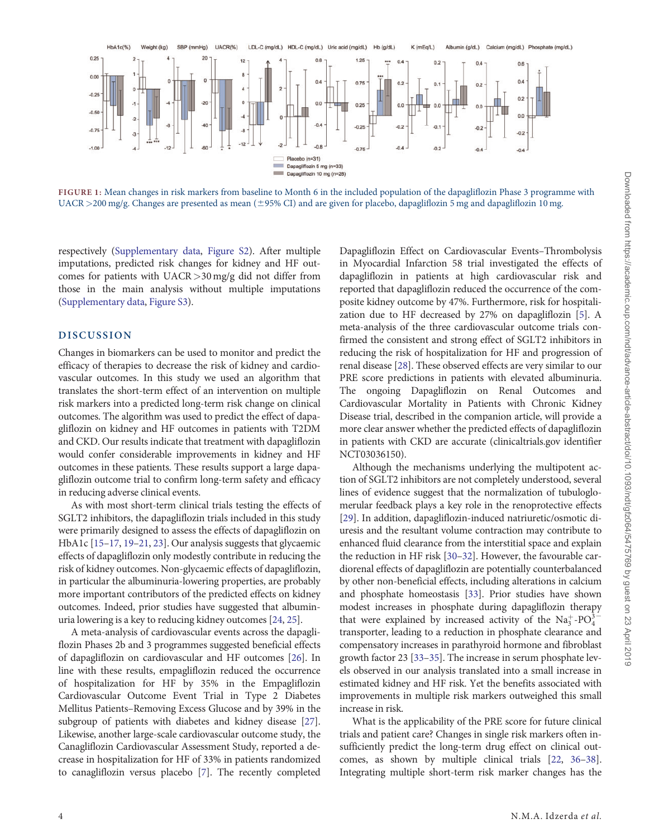<span id="page-3-0"></span>

FIGURE 1: Mean changes in risk markers from baseline to Month 6 in the included population of the dapagliflozin Phase 3 programme with  $UACR > 200$  mg/g. Changes are presented as mean ( $\pm$ 95% CI) and are given for placebo, dapagliflozin 5 mg and dapagliflozin 10 mg.

respectively ([Supplementary data](https://academic.oup.com/ndt/article-lookup/doi/10.1093/ndt/gfz064#supplementary-data), [Figure S2\)](https://academic.oup.com/ndt/article-lookup/doi/10.1093/ndt/gfz064#supplementary-data). After multiple imputations, predicted risk changes for kidney and HF outcomes for patients with UACR >30 mg/g did not differ from those in the main analysis without multiple imputations [\(Supplementary data](https://academic.oup.com/ndt/article-lookup/doi/10.1093/ndt/gfz064#supplementary-data), [Figure S3](https://academic.oup.com/ndt/article-lookup/doi/10.1093/ndt/gfz064#supplementary-data)).

## DISCUSSION

Changes in biomarkers can be used to monitor and predict the efficacy of therapies to decrease the risk of kidney and cardiovascular outcomes. In this study we used an algorithm that translates the short-term effect of an intervention on multiple risk markers into a predicted long-term risk change on clinical outcomes. The algorithm was used to predict the effect of dapagliflozin on kidney and HF outcomes in patients with T2DM and CKD. Our results indicate that treatment with dapagliflozin would confer considerable improvements in kidney and HF outcomes in these patients. These results support a large dapagliflozin outcome trial to confirm long-term safety and efficacy in reducing adverse clinical events.

As with most short-term clinical trials testing the effects of SGLT2 inhibitors, the dapagliflozin trials included in this study were primarily designed to assess the effects of dapagliflozin on HbA1c [\[15–17](#page-6-0), [19–21](#page-6-0), [23](#page-6-0)]. Our analysis suggests that glycaemic effects of dapagliflozin only modestly contribute in reducing the risk of kidney outcomes. Non-glycaemic effects of dapagliflozin, in particular the albuminuria-lowering properties, are probably more important contributors of the predicted effects on kidney outcomes. Indeed, prior studies have suggested that albuminuria lowering is a key to reducing kidney outcomes [\[24,](#page-6-0) [25](#page-6-0)].

A meta-analysis of cardiovascular events across the dapagliflozin Phases 2b and 3 programmes suggested beneficial effects of dapagliflozin on cardiovascular and HF outcomes [\[26\]](#page-6-0). In line with these results, empagliflozin reduced the occurrence of hospitalization for HF by 35% in the Empagliflozin Cardiovascular Outcome Event Trial in Type 2 Diabetes Mellitus Patients–Removing Excess Glucose and by 39% in the subgroup of patients with diabetes and kidney disease [[27\]](#page-6-0). Likewise, another large-scale cardiovascular outcome study, the Canagliflozin Cardiovascular Assessment Study, reported a decrease in hospitalization for HF of 33% in patients randomized to canagliflozin versus placebo [\[7\]](#page-5-0). The recently completed Dapagliflozin Effect on Cardiovascular Events–Thrombolysis in Myocardial Infarction 58 trial investigated the effects of dapagliflozin in patients at high cardiovascular risk and reported that dapagliflozin reduced the occurrence of the composite kidney outcome by 47%. Furthermore, risk for hospitalization due to HF decreased by 27% on dapagliflozin [[5](#page-5-0)]. A meta-analysis of the three cardiovascular outcome trials confirmed the consistent and strong effect of SGLT2 inhibitors in reducing the risk of hospitalization for HF and progression of renal disease [\[28\]](#page-6-0). These observed effects are very similar to our PRE score predictions in patients with elevated albuminuria. The ongoing Dapagliflozin on Renal Outcomes and Cardiovascular Mortality in Patients with Chronic Kidney Disease trial, described in the companion article, will provide a more clear answer whether the predicted effects of dapagliflozin in patients with CKD are accurate (clinicaltrials.gov identifier NCT03036150).

Although the mechanisms underlying the multipotent action of SGLT2 inhibitors are not completely understood, several lines of evidence suggest that the normalization of tubuloglomerular feedback plays a key role in the renoprotective effects [[29](#page-6-0)]. In addition, dapagliflozin-induced natriuretic/osmotic diuresis and the resultant volume contraction may contribute to enhanced fluid clearance from the interstitial space and explain the reduction in HF risk [[30–32\]](#page-6-0). However, the favourable cardiorenal effects of dapagliflozin are potentially counterbalanced by other non-beneficial effects, including alterations in calcium and phosphate homeostasis [\[33](#page-6-0)]. Prior studies have shown modest increases in phosphate during dapagliflozin therapy that were explained by increased activity of the  $Na_3^+$ -PO $_4^3^$ transporter, leading to a reduction in phosphate clearance and compensatory increases in parathyroid hormone and fibroblast growth factor 23 [[33–35](#page-6-0)]. The increase in serum phosphate levels observed in our analysis translated into a small increase in estimated kidney and HF risk. Yet the benefits associated with improvements in multiple risk markers outweighed this small increase in risk.

What is the applicability of the PRE score for future clinical trials and patient care? Changes in single risk markers often insufficiently predict the long-term drug effect on clinical outcomes, as shown by multiple clinical trials [\[22,](#page-6-0) [36–38](#page-6-0)]. Integrating multiple short-term risk marker changes has the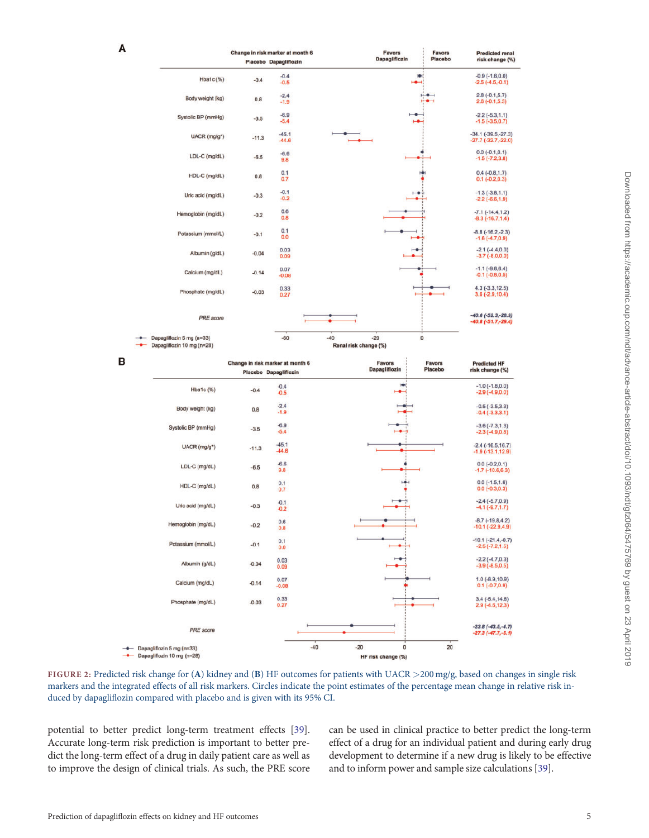|                            |                                  | Change in risk marker at month 6 | Favors                | Favors  | <b>Predicted renal</b>                  |
|----------------------------|----------------------------------|----------------------------------|-----------------------|---------|-----------------------------------------|
|                            |                                  | Placebo Dapagliflozin            | Dapagliflozin         | Placebo | risk change (%)                         |
|                            |                                  | $-0.4$                           |                       |         | $-0.9(-1.6, 0.0)$                       |
| Hba1c (%)                  | $-0.4$                           | $-0.5$                           |                       |         | $-2.5(-4.5,-0.1)$                       |
| Body weight (kg)           |                                  | $-2.4$                           |                       |         | $2.8(-0.1,5.7)$                         |
|                            | 0.8                              | $-1.9$                           |                       |         | $2.6(-0.1,5.3)$                         |
| Systolic BP (mmHg)         | $-3.5$                           | $-6.9$<br>$-5.4$                 |                       | ⊢≛      | $-2.2(-5.3, 1.1)$<br>$-1.5(-3.5,0.7)$   |
| UACR (mg/g <sup>*</sup> )  |                                  | $-45.1$                          |                       |         | $-34.1(-39.5,-27.3)$                    |
|                            | $-11.3$                          | $-44.6$                          |                       |         | $-27.7(-32.7,-22.0)$                    |
| LDL-C (mg/dL)              | $-6.5$                           | $-6.6$                           |                       |         | $0.0(-0.1,0.1)$                         |
|                            |                                  | 9.8                              |                       |         | $-1.5(-7.2,3.8)$                        |
| HDL-C (mg/dL)              | 0.8                              | 0.1                              |                       |         | $0.4(-0.8, 1.7)$                        |
|                            |                                  | 0.7                              |                       |         | $0.1 (-0.2, 0.3)$                       |
| Uric acid (mg/dL)          | $-0.3$                           | $-0.1$<br>$-0.2$                 |                       |         | $-1.3(-3.8, 1.1)$                       |
|                            |                                  |                                  |                       |         | $-2.2(-6.6, 1.9)$                       |
| Hemoglobin (mg/dL)         | $-0.2$                           | 0.6<br>0.8                       |                       |         | $-7.1(-14.4, 1.2)$<br>$-8.3(-16.7,1.4)$ |
|                            |                                  |                                  |                       |         |                                         |
| Potassium (mmol/L)         | $-0.1$                           | 0.1<br>0.0                       |                       |         | $-8.8(-16.2,-2.3)$<br>$-1.6(-4.7,0.9)$  |
|                            |                                  | 0.03                             |                       |         | $-2.1(-4.4,0.0)$                        |
| Albumin (g/dL)             | $-0.04$                          | 0.09                             |                       |         | $-3.7(-8.0,0.0)$                        |
| Calcium (mg/dL)            | $-0.14$                          | 0.07                             |                       |         | $-1.1$ $(-9.6, 6.4)$                    |
|                            |                                  | $-0.08$                          |                       |         | $-0.1(-0.8, 0.5)$                       |
| Phosphate (mg/dL)          | $-0.03$                          | 0.33                             |                       |         | $4.3(-3.3, 12.5)$                       |
|                            |                                  | 0.27                             |                       |         | $3.6(-2.9, 10.4)$                       |
| PRE score                  |                                  |                                  |                       |         | $-40.6$ $(-52.3,-28.9)$                 |
|                            |                                  |                                  |                       |         | $-40.8(-51.7,-29.4)$                    |
| Dapagliflozin 5 mg (n=33)  |                                  | $-60$                            | $-20$<br>$-40$        | O       |                                         |
| Dapagliflozin 10 mg (n=28) |                                  |                                  | Renal risk change (%) |         |                                         |
|                            | Change in risk marker at month 6 |                                  | <b>Favors</b>         | Favors  | <b>Predicted HF</b>                     |
|                            |                                  | Placebo Dapagliflozin            | Dapagliflozin         | Placebo | risk change (%)                         |
|                            |                                  | $-0.4$                           |                       |         | $-1.0$ ( $-1.8,0.0$ )                   |
| Hba1c (%)                  | $-0.4$                           | $-0.5$                           |                       |         | $-2.9(-4.9,0.0)$                        |
| Body weight (kg)           | 0.8                              | $-2.4$                           |                       |         | $-0.5(-3.5,3.3)$                        |
|                            |                                  | $-1.9$                           |                       |         | $-0.4(-3.3,3.1)$                        |
| Systolic BP (mmHg)         | $-3.5$                           | $-6.9$                           |                       |         | $-3.6(-7.3, 1.3)$                       |

<span id="page-4-0"></span>A

|                            | Change in risk marker at month 6 |                       | <b>Favors</b><br>Favors  |         | <b>Predicted HF</b>                           |
|----------------------------|----------------------------------|-----------------------|--------------------------|---------|-----------------------------------------------|
|                            |                                  | Placebo Dapagliflozin | Dapagliflozin            | Placebo | risk change (%)                               |
| Hba1c(%)                   | $-0.4$                           | $-0.4$<br>$-0.5$      | KO)<br>⊢•                |         | $-1.0(-1.8,0.0)$<br>$-2.9(-4.9,0.0)$          |
| Body weight (kg)           | 0.8                              | $-2.4$<br>$-1.9$      |                          |         | $-0.5(-3.5,3.3)$<br>$-0.4(-3.3.3.1)$          |
| Systolic BP (mmHg)         | $-3.5$                           | $-6.9$<br>$-5.4$      | $\overline{\phantom{a}}$ |         | $-3.6(-7.3, 1.3)$<br>$-2.3(-4.9,0.8)$         |
| UACR (mg/g <sup>*</sup> )  | $-11.3$                          | $-45.1$<br>$-44.6$    |                          |         | $-2.4(-16.5,16.7)$<br>$-1.9(-13.1, 12.9)$     |
| LDL-C (mg/dL)              | $-6.5$                           | $-6.6$<br>9.8         |                          |         | $0.0(-0.2,0.1)$<br>$-1.7(-10.6,6.3)$          |
| HDL-C (mg/dL)              | 0.8                              | 0.1<br>0.7            |                          |         | $0.0(-1.5,1.6)$<br>$0.0 (-0.3, 0.3)$          |
| Uric acid (mg/dL)          | $-0.3$                           | $-0.1$<br>$-0.2$      |                          |         | $-2.4(-5.7, 0.9)$<br>$-4.1(-9.7, 1.7)$        |
| Hemoglobin (mg/dL)         | $-0.2$                           | 0.6<br>0.8            |                          |         | $-8.7(-19.8, 4.2)$<br>$-10.1(-22.9, 4.9)$     |
| Potassium (mmol/L)         | $-0.1$                           | 0.1<br>0.0            |                          |         | $-10.1(-21.4,-0.7)$<br>$-2.5(-7.2.1.5)$       |
| Albumin (g/dL)             | $-0.04$                          | 0.03<br>0.09          | ⊷                        |         | $-2.2$ ( $-4.7,0.3$ )<br>$-3.9(-8.5, 0.5)$    |
| Calcium (mg/dL)            | $-0.14$                          | 0.07<br>$-0.08$       |                          |         | $1.0(-8.9, 10.9)$<br>$0.1 (-0.7, 0.9)$        |
| Phosphate (mg/dL)          | $-0.03$                          | 0.33<br>0.27          |                          |         | $3.4(-5.4, 14.8)$<br>$2.9(-4.6, 12.3)$        |
| PRE score                  |                                  |                       |                          |         | $-23.8$ $(-43.5,-4.7)$<br>$-27.3(-47.7,-5.1)$ |
| Dapagliflozin 5 mg (n=33)  |                                  | $-40$                 | O<br>$-20$               | 20      |                                               |
| Dapagliflozin 10 mg (n=28) |                                  |                       | HF risk change (%)       |         |                                               |

FIGURE 2: Predicted risk change for (A) kidney and (B) HF outcomes for patients with UACR >200 mg/g, based on changes in single risk markers and the integrated effects of all risk markers. Circles indicate the point estimates of the percentage mean change in relative risk induced by dapagliflozin compared with placebo and is given with its 95% CI.

potential to better predict long-term treatment effects [[39\]](#page-6-0). Accurate long-term risk prediction is important to better predict the long-term effect of a drug in daily patient care as well as to improve the design of clinical trials. As such, the PRE score can be used in clinical practice to better predict the long-term effect of a drug for an individual patient and during early drug development to determine if a new drug is likely to be effective and to inform power and sample size calculations [[39](#page-6-0)].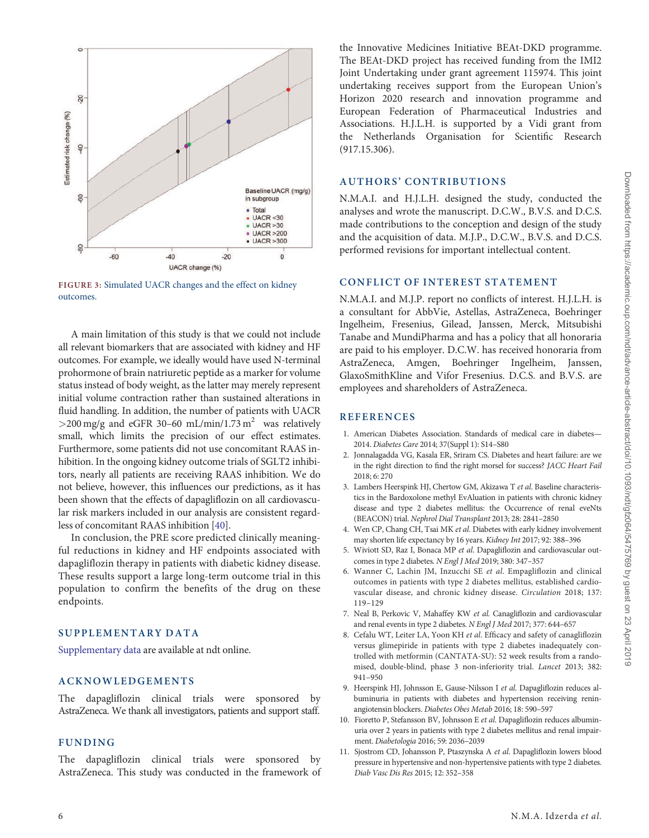<span id="page-5-0"></span>

FIGURE 3: Simulated UACR changes and the effect on kidney outcomes.

A main limitation of this study is that we could not include all relevant biomarkers that are associated with kidney and HF outcomes. For example, we ideally would have used N-terminal prohormone of brain natriuretic peptide as a marker for volume status instead of body weight, as the latter may merely represent initial volume contraction rather than sustained alterations in fluid handling. In addition, the number of patients with UACR  $>$ 200 mg/g and eGFR 30–60 mL/min/1.73 m<sup>2</sup> was relatively small, which limits the precision of our effect estimates. Furthermore, some patients did not use concomitant RAAS inhibition. In the ongoing kidney outcome trials of SGLT2 inhibitors, nearly all patients are receiving RAAS inhibition. We do not believe, however, this influences our predictions, as it has been shown that the effects of dapagliflozin on all cardiovascular risk markers included in our analysis are consistent regardless of concomitant RAAS inhibition [[40](#page-6-0)].

In conclusion, the PRE score predicted clinically meaningful reductions in kidney and HF endpoints associated with dapagliflozin therapy in patients with diabetic kidney disease. These results support a large long-term outcome trial in this population to confirm the benefits of the drug on these endpoints.

## SUPPLEMENTARY DATA

[Supplementary data](https://academic.oup.com/ndt/article-lookup/doi/10.1093/ndt/gfz064#supplementary-data) are available at ndt online.

## ACKNOWLEDGEMENTS

The dapagliflozin clinical trials were sponsored by AstraZeneca. We thank all investigators, patients and support staff.

## FUNDING

The dapagliflozin clinical trials were sponsored by AstraZeneca. This study was conducted in the framework of the Innovative Medicines Initiative BEAt-DKD programme. The BEAt-DKD project has received funding from the IMI2 Joint Undertaking under grant agreement 115974. This joint undertaking receives support from the European Union's Horizon 2020 research and innovation programme and European Federation of Pharmaceutical Industries and Associations. H.J.L.H. is supported by a Vidi grant from the Netherlands Organisation for Scientific Research (917.15.306).

#### AUTHORS' CONTRIBUTIONS

N.M.A.I. and H.J.L.H. designed the study, conducted the analyses and wrote the manuscript. D.C.W., B.V.S. and D.C.S. made contributions to the conception and design of the study and the acquisition of data. M.J.P., D.C.W., B.V.S. and D.C.S. performed revisions for important intellectual content.

## CONFLICT OF INTEREST STATEMENT

N.M.A.I. and M.J.P. report no conflicts of interest. H.J.L.H. is a consultant for AbbVie, Astellas, AstraZeneca, Boehringer Ingelheim, Fresenius, Gilead, Janssen, Merck, Mitsubishi Tanabe and MundiPharma and has a policy that all honoraria are paid to his employer. D.C.W. has received honoraria from AstraZeneca, Amgen, Boehringer Ingelheim, Janssen, GlaxoSmithKline and Vifor Fresenius. D.C.S. and B.V.S. are employees and shareholders of AstraZeneca.

## **REFERENCES**

- [1.](#page-0-0) American Diabetes Association. Standards of medical care in diabetes— 2014. Diabetes Care 2014; 37(Suppl 1): S14–S80
- [2.](#page-0-0) Jonnalagadda VG, Kasala ER, Sriram CS. Diabetes and heart failure: are we in the right direction to find the right morsel for success? JACC Heart Fail 2018; 6: 270
- [3.](#page-0-0) Lambers Heerspink HJ, Chertow GM, Akizawa T et al. Baseline characteristics in the Bardoxolone methyl EvAluation in patients with chronic kidney disease and type 2 diabetes mellitus: the Occurrence of renal eveNts (BEACON) trial. Nephrol Dial Transplant 2013; 28: 2841–2850
- [4.](#page-0-0) Wen CP, Chang CH, Tsai MK et al. Diabetes with early kidney involvement may shorten life expectancy by 16 years. Kidney Int 2017; 92: 388–396
- [5.](#page-3-0) Wiviott SD, Raz I, Bonaca MP et al. Dapagliflozin and cardiovascular outcomes in type 2 diabetes. N Engl J Med 2019; 380: 347–357
- 6. Wanner C, Lachin JM, Inzucchi SE et al. Empagliflozin and clinical outcomes in patients with type 2 diabetes mellitus, established cardiovascular disease, and chronic kidney disease. Circulation 2018; 137: 119–129
- [7.](#page-3-0) Neal B, Perkovic V, Mahaffey KW et al. Canagliflozin and cardiovascular and renal events in type 2 diabetes. N Engl J Med 2017; 377: 644–657
- [8.](#page-0-0) Cefalu WT, Leiter LA, Yoon KH et al. Efficacy and safety of canagliflozin versus glimepiride in patients with type 2 diabetes inadequately controlled with metformin (CANTATA-SU): 52 week results from a randomised, double-blind, phase 3 non-inferiority trial. Lancet 2013; 382: 941–950
- [9.](#page-1-0) Heerspink HJ, Johnsson E, Gause-Nilsson I et al. Dapagliflozin reduces albuminuria in patients with diabetes and hypertension receiving reninangiotensin blockers. Diabetes Obes Metab 2016; 18: 590–597
- [10](#page-1-0). Fioretto P, Stefansson BV, Johnsson E et al. Dapagliflozin reduces albuminuria over 2 years in patients with type 2 diabetes mellitus and renal impairment. Diabetologia 2016; 59: 2036–2039
- 11. Sjostrom CD, Johansson P, Ptaszynska A et al. Dapagliflozin lowers blood pressure in hypertensive and non-hypertensive patients with type 2 diabetes. Diab Vasc Dis Res 2015; 12: 352–358